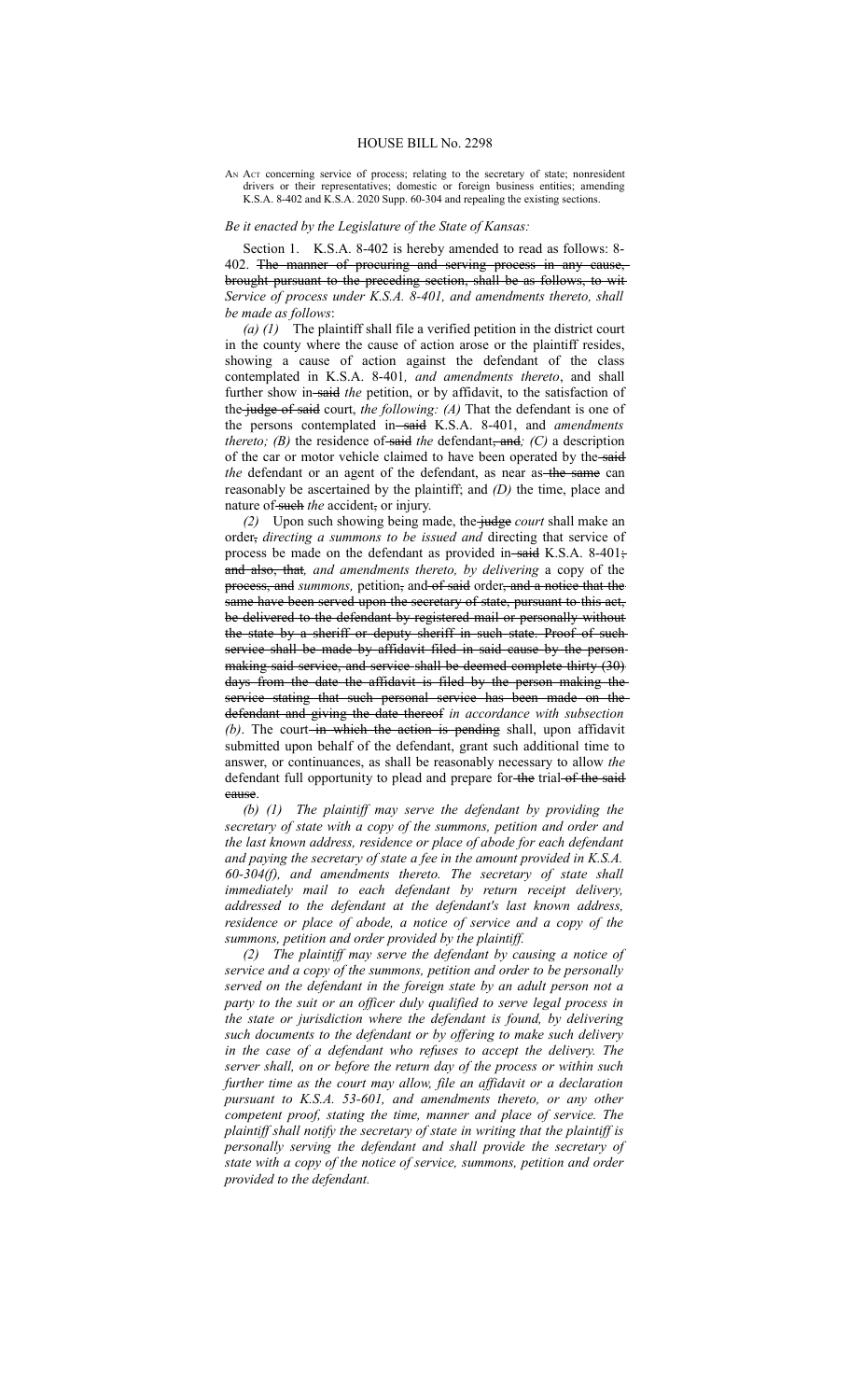AN Act concerning service of process; relating to the secretary of state; nonresident drivers or their representatives; domestic or foreign business entities; amending K.S.A. 8-402 and K.S.A. 2020 Supp. 60-304 and repealing the existing sections.

## *Be it enacted by the Legislature of the State of Kansas:*

Section 1. K.S.A. 8-402 is hereby amended to read as follows: 8- 402. The manner of procuring and serving process in any cause, brought pursuant to the preceding section, shall be as follows, to wit *Service of process under K.S.A. 8-401, and amendments thereto, shall be made as follows*:

*(a) (1)* The plaintiff shall file a verified petition in the district court in the county where the cause of action arose or the plaintiff resides, showing a cause of action against the defendant of the class contemplated in K.S.A. 8-401*, and amendments thereto*, and shall further show in-said the petition, or by affidavit, to the satisfaction of the judge of said court, *the following: (A)* That the defendant is one of the persons contemplated in-said K.S.A. 8-401, and *amendments thereto;* (B) the residence of said the defendant, and; (C) a description of the car or motor vehicle claimed to have been operated by the said *the* defendant or an agent of the defendant, as near as the same can reasonably be ascertained by the plaintiff; and *(D)* the time, place and nature of such the accident, or injury.

*(2)* Upon such showing being made, the judge *court* shall make an order, *directing a summons to be issued and* directing that service of process be made on the defendant as provided in-said K.S.A. 8-401; and also, that*, and amendments thereto, by delivering* a copy of the process, and *summons*, petition, and of said order, and a notice that the same have been served upon the secretary of state, pursuant to this act, be delivered to the defendant by registered mail or personally without the state by a sheriff or deputy sheriff in such state. Proof of such service shall be made by affidavit filed in said cause by the personmaking said service, and service shall be deemed complete thirty (30) days from the date the affidavit is filed by the person making the service stating that such personal service has been made on the defendant and giving the date thereof *in accordance with subsection (b)*. The court-in which the action is pending shall, upon affidavit submitted upon behalf of the defendant, grant such additional time to answer, or continuances, as shall be reasonably necessary to allow *the* defendant full opportunity to plead and prepare for the trial of the said cause.

*(b) (1) The plaintiff may serve the defendant by providing the secretary of state with a copy of the summons, petition and order and the last known address, residence or place of abode for each defendant and paying the secretary of state a fee in the amount provided in K.S.A. 60-304(f), and amendments thereto. The secretary of state shall immediately mail to each defendant by return receipt delivery, addressed to the defendant at the defendant's last known address, residence or place of abode, a notice of service and a copy of the summons, petition and order provided by the plaintiff.*

*(2) The plaintiff may serve the defendant by causing a notice of service and a copy of the summons, petition and order to be personally served on the defendant in the foreign state by an adult person not a party to the suit or an officer duly qualified to serve legal process in the state or jurisdiction where the defendant is found, by delivering such documents to the defendant or by offering to make such delivery in the case of a defendant who refuses to accept the delivery. The server shall, on or before the return day of the process or within such further time as the court may allow, file an affidavit or a declaration pursuant to K.S.A. 53-601, and amendments thereto, or any other competent proof, stating the time, manner and place of service. The plaintiff shall notify the secretary of state in writing that the plaintiff is personally serving the defendant and shall provide the secretary of state with a copy of the notice of service, summons, petition and order provided to the defendant.*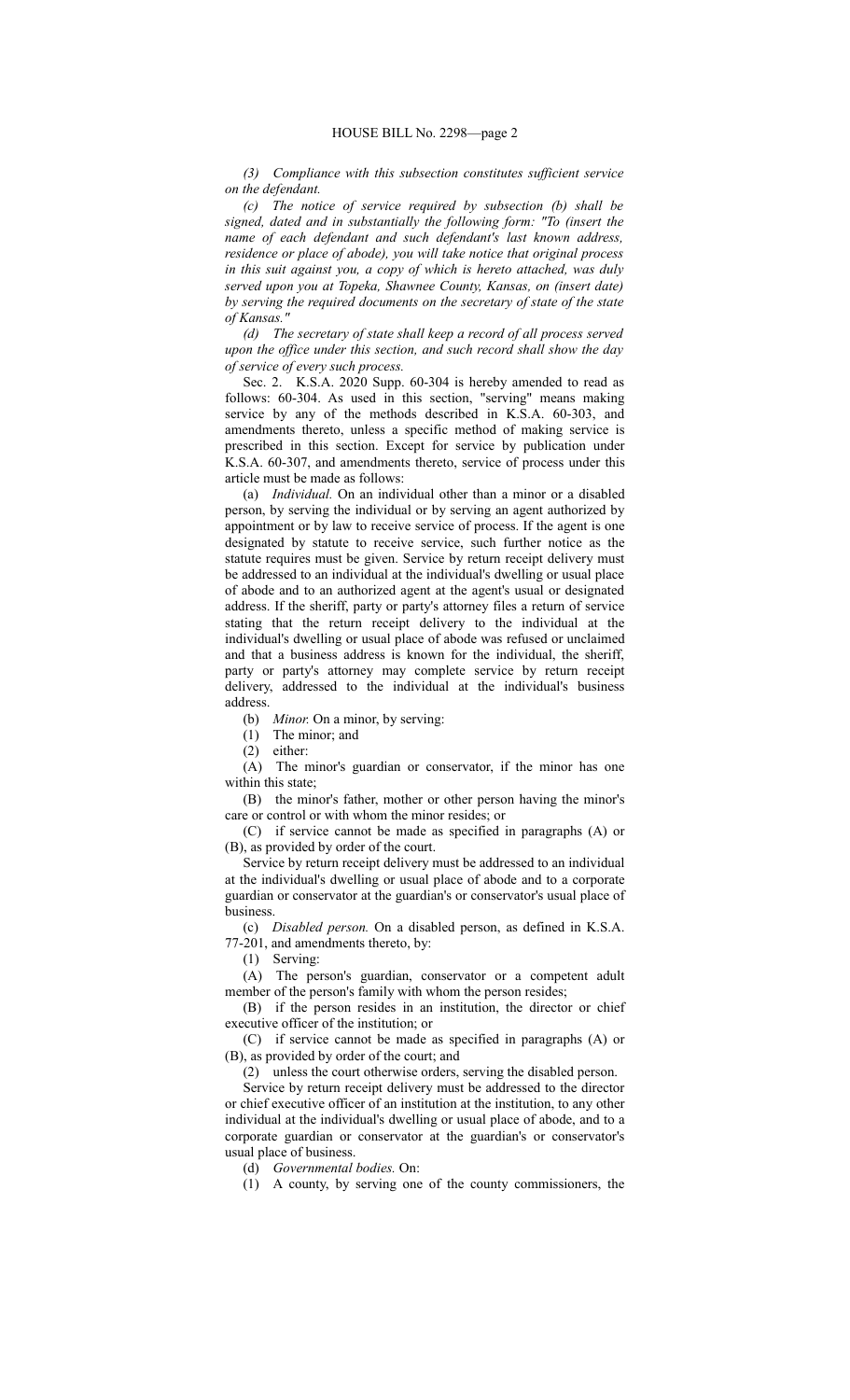*(3) Compliance with this subsection constitutes sufficient service on the defendant.*

*(c) The notice of service required by subsection (b) shall be signed, dated and in substantially the following form: "To (insert the name of each defendant and such defendant's last known address, residence or place of abode), you will take notice that original process in this suit against you, a copy of which is hereto attached, was duly served upon you at Topeka, Shawnee County, Kansas, on (insert date) by serving the required documents on the secretary of state of the state of Kansas."*

*(d) The secretary of state shall keep a record of all process served upon the office under this section, and such record shall show the day of service of every such process.*

Sec. 2. K.S.A. 2020 Supp. 60-304 is hereby amended to read as follows: 60-304. As used in this section, "serving" means making service by any of the methods described in K.S.A. 60-303, and amendments thereto, unless a specific method of making service is prescribed in this section. Except for service by publication under K.S.A. 60-307, and amendments thereto, service of process under this article must be made as follows:

(a) *Individual.* On an individual other than a minor or a disabled person, by serving the individual or by serving an agent authorized by appointment or by law to receive service of process. If the agent is one designated by statute to receive service, such further notice as the statute requires must be given. Service by return receipt delivery must be addressed to an individual at the individual's dwelling or usual place of abode and to an authorized agent at the agent's usual or designated address. If the sheriff, party or party's attorney files a return of service stating that the return receipt delivery to the individual at the individual's dwelling or usual place of abode was refused or unclaimed and that a business address is known for the individual, the sheriff, party or party's attorney may complete service by return receipt delivery, addressed to the individual at the individual's business address.

(b) *Minor.* On a minor, by serving:

(1) The minor; and

(2) either:

(A) The minor's guardian or conservator, if the minor has one within this state;

(B) the minor's father, mother or other person having the minor's care or control or with whom the minor resides; or

(C) if service cannot be made as specified in paragraphs (A) or (B), as provided by order of the court.

Service by return receipt delivery must be addressed to an individual at the individual's dwelling or usual place of abode and to a corporate guardian or conservator at the guardian's or conservator's usual place of business.

(c) *Disabled person.* On a disabled person, as defined in K.S.A. 77-201, and amendments thereto, by:

(1) Serving:

(A) The person's guardian, conservator or a competent adult member of the person's family with whom the person resides;

(B) if the person resides in an institution, the director or chief executive officer of the institution; or

(C) if service cannot be made as specified in paragraphs (A) or (B), as provided by order of the court; and

(2) unless the court otherwise orders, serving the disabled person.

Service by return receipt delivery must be addressed to the director or chief executive officer of an institution at the institution, to any other individual at the individual's dwelling or usual place of abode, and to a corporate guardian or conservator at the guardian's or conservator's usual place of business.

(d) *Governmental bodies.* On:

(1) A county, by serving one of the county commissioners, the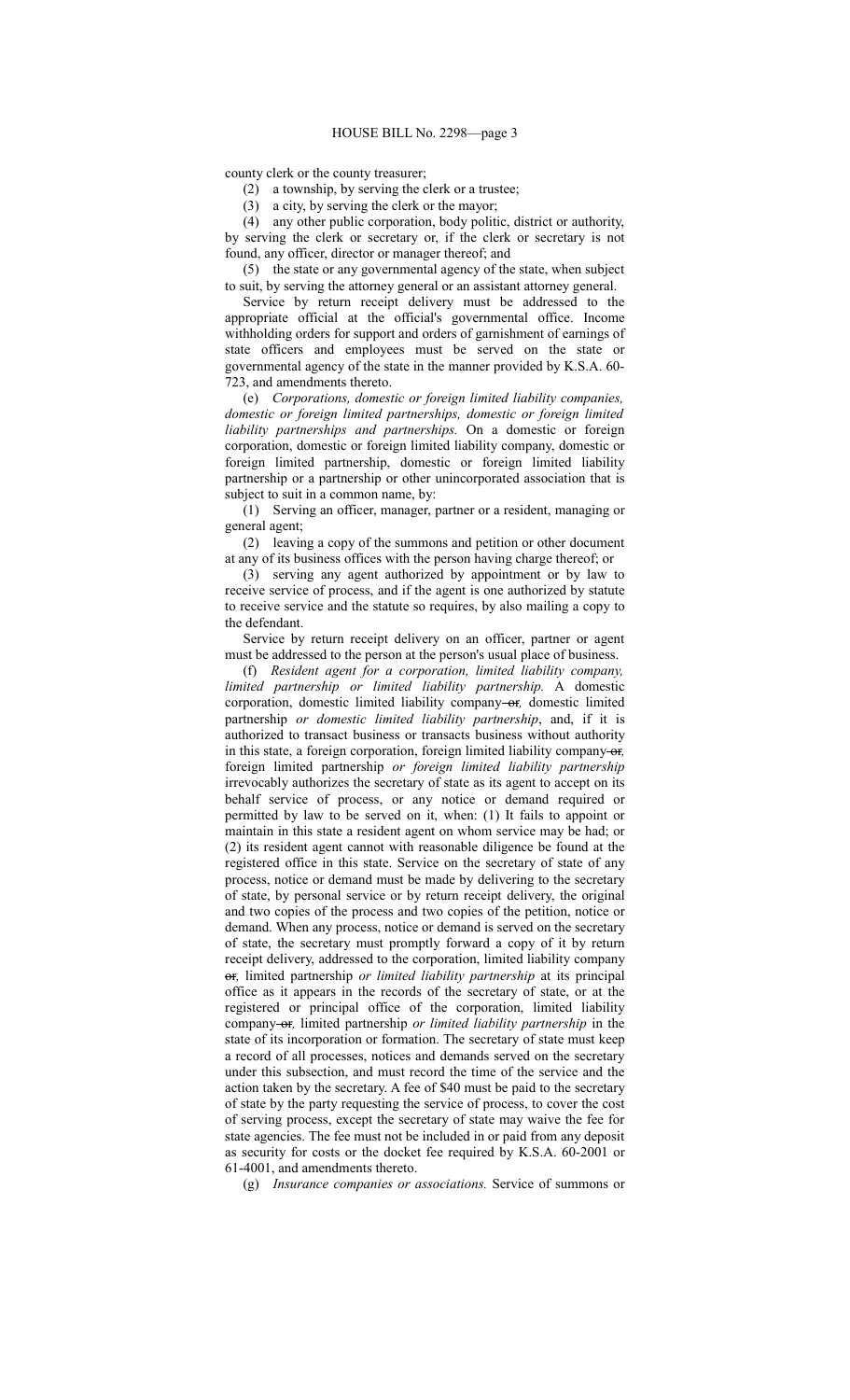county clerk or the county treasurer;

(2) a township, by serving the clerk or a trustee;

(3) a city, by serving the clerk or the mayor;

(4) any other public corporation, body politic, district or authority,

by serving the clerk or secretary or, if the clerk or secretary is not found, any officer, director or manager thereof; and

(5) the state or any governmental agency of the state, when subject to suit, by serving the attorney general or an assistant attorney general.

Service by return receipt delivery must be addressed to the appropriate official at the official's governmental office. Income withholding orders for support and orders of garnishment of earnings of state officers and employees must be served on the state or governmental agency of the state in the manner provided by K.S.A. 60- 723, and amendments thereto.

(e) *Corporations, domestic or foreign limited liability companies, domestic or foreign limited partnerships, domestic or foreign limited liability partnerships and partnerships.* On a domestic or foreign corporation, domestic or foreign limited liability company, domestic or foreign limited partnership, domestic or foreign limited liability partnership or a partnership or other unincorporated association that is subject to suit in a common name, by:

(1) Serving an officer, manager, partner or a resident, managing or general agent;

(2) leaving a copy of the summons and petition or other document at any of its business offices with the person having charge thereof; or

(3) serving any agent authorized by appointment or by law to receive service of process, and if the agent is one authorized by statute to receive service and the statute so requires, by also mailing a copy to the defendant.

Service by return receipt delivery on an officer, partner or agent must be addressed to the person at the person's usual place of business.

(f) *Resident agent for a corporation, limited liability company, limited partnership or limited liability partnership.* A domestic corporation, domestic limited liability company-or, domestic limited partnership *or domestic limited liability partnership*, and, if it is authorized to transact business or transacts business without authority in this state, a foreign corporation, foreign limited liability company or*,* foreign limited partnership *or foreign limited liability partnership* irrevocably authorizes the secretary of state as its agent to accept on its behalf service of process, or any notice or demand required or permitted by law to be served on it, when: (1) It fails to appoint or maintain in this state a resident agent on whom service may be had; or (2) its resident agent cannot with reasonable diligence be found at the registered office in this state. Service on the secretary of state of any process, notice or demand must be made by delivering to the secretary of state, by personal service or by return receipt delivery, the original and two copies of the process and two copies of the petition, notice or demand. When any process, notice or demand is served on the secretary of state, the secretary must promptly forward a copy of it by return receipt delivery, addressed to the corporation, limited liability company or*,* limited partnership *or limited liability partnership* at its principal office as it appears in the records of the secretary of state, or at the registered or principal office of the corporation, limited liability company-or, limited partnership *or limited liability partnership* in the state of its incorporation or formation. The secretary of state must keep a record of all processes, notices and demands served on the secretary under this subsection, and must record the time of the service and the action taken by the secretary. A fee of \$40 must be paid to the secretary of state by the party requesting the service of process, to cover the cost of serving process, except the secretary of state may waive the fee for state agencies. The fee must not be included in or paid from any deposit as security for costs or the docket fee required by K.S.A. 60-2001 or 61-4001, and amendments thereto.

(g) *Insurance companies or associations.* Service of summons or